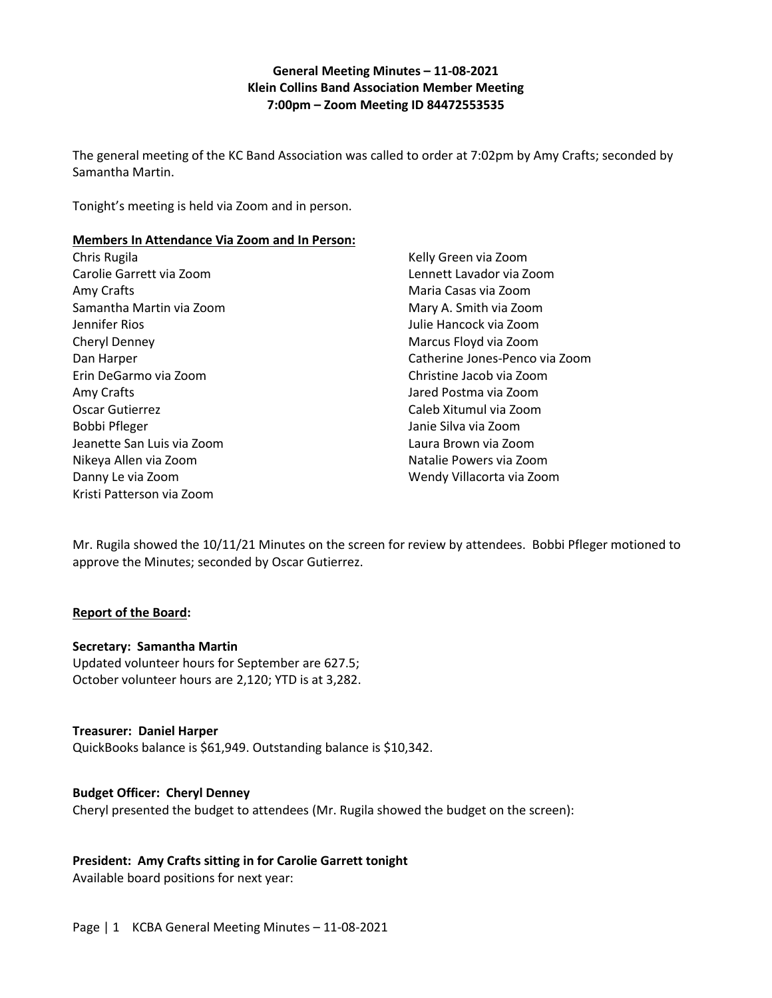## **General Meeting Minutes – 11-08-2021 Klein Collins Band Association Member Meeting 7:00pm – Zoom Meeting ID [84472553535](http://url9345.charmsmusic.com/ls/click?upn=uMuv2ZDvZK9cQIZWUsoEL0gH-2FaH1YyT2WRA5FZBm4xU1jruS5RY5K3TCJbEd4CyUDM-2Bwntfo15-2FreFIas0izNpz-2BRZLfPkZdqnMJchNFIKabzW9ii4nqLUX5kN4zucNbUUbsgEn9FxUWNm4HCPi3e4JHLP7W0rmU-2Fb0m2v-2F-2B4MSA-2B6YEu5i3B5pi3BXKCG7UGi26agsd-2BF8DEnob8p-2FwZ-2FWeAmbvI6caVmpcNK9S3Wwnp6wx6bQ0iSJPb-2B3fCl88-2BvetMozmpqUg-2BXEBSrllDvmOWicfrKWYbrPri-2BQsDWIo8uz4XtU3-2BKgVWw8eEvh6uYl8vODpdIGQVaX7VbvZTkbqb6V4OQObv5iETgqxNot5bx6WO2dch6U19XIZ4xv5rKtrtP1ai8yj-2FEiDB8lMWfsbmxbi3-2BG6pcUkSgTiK41hSEyTZeYX7bbBOz5SnjJI5wDt5X7An5Jq2aANt6r0A0t6mD5BbZNcRCz-2F4acqmxpQML-2B7pLOQBuHZvdVqVyWJrzw__nenbBkpW0gHgi3p4rgiqYBJTG2qkBw0xpSlf5Tu9LujE6mTWcb-2FG00U4t9jxwcKpJ5wkXfeKop5WSrZrw7cJ6hdGYBFXR15yiRf-2FSi3HRiqhNCIotuaVDvvex0UziTIeJ7mwTXC6-2Bm6WFCUFqfCO1Z7x3Pstv6a89MFG1Qpld7MKQiOyOTaEiNrOf-2Blb0EIpcWI9Bno8-2FafT6dqnFXdjPkK0fHpoYndmYPNyEnNKkDA-3D)**

The general meeting of the KC Band Association was called to order at 7:02pm by Amy Crafts; seconded by Samantha Martin.

Tonight's meeting is held via Zoom and in person.

#### **Members In Attendance Via Zoom and In Person:**

Chris Rugila Carolie Garrett via Zoom Amy Crafts Samantha Martin via Zoom Jennifer Rios Cheryl Denney Dan Harper Erin DeGarmo via Zoom Amy Crafts Oscar Gutierrez Bobbi Pfleger Jeanette San Luis via Zoom Nikeya Allen via Zoom Danny Le via Zoom Kristi Patterson via Zoom

Kelly Green via Zoom Lennett Lavador via Zoom Maria Casas via Zoom Mary A. Smith via Zoom Julie Hancock via Zoom Marcus Floyd via Zoom Catherine Jones-Penco via Zoom Christine Jacob via Zoom Jared Postma via Zoom Caleb Xitumul via Zoom Janie Silva via Zoom Laura Brown via Zoom Natalie Powers via Zoom Wendy Villacorta via Zoom

Mr. Rugila showed the 10/11/21 Minutes on the screen for review by attendees. Bobbi Pfleger motioned to approve the Minutes; seconded by Oscar Gutierrez.

## **Report of the Board:**

## **Secretary: Samantha Martin**

Updated volunteer hours for September are 627.5; October volunteer hours are 2,120; YTD is at 3,282.

#### **Treasurer: Daniel Harper**

QuickBooks balance is \$61,949. Outstanding balance is \$10,342.

## **Budget Officer: Cheryl Denney**

Cheryl presented the budget to attendees (Mr. Rugila showed the budget on the screen):

## **President: Amy Crafts sitting in for Carolie Garrett tonight**

Available board positions for next year:

Page | 1 KCBA General Meeting Minutes – 11-08-2021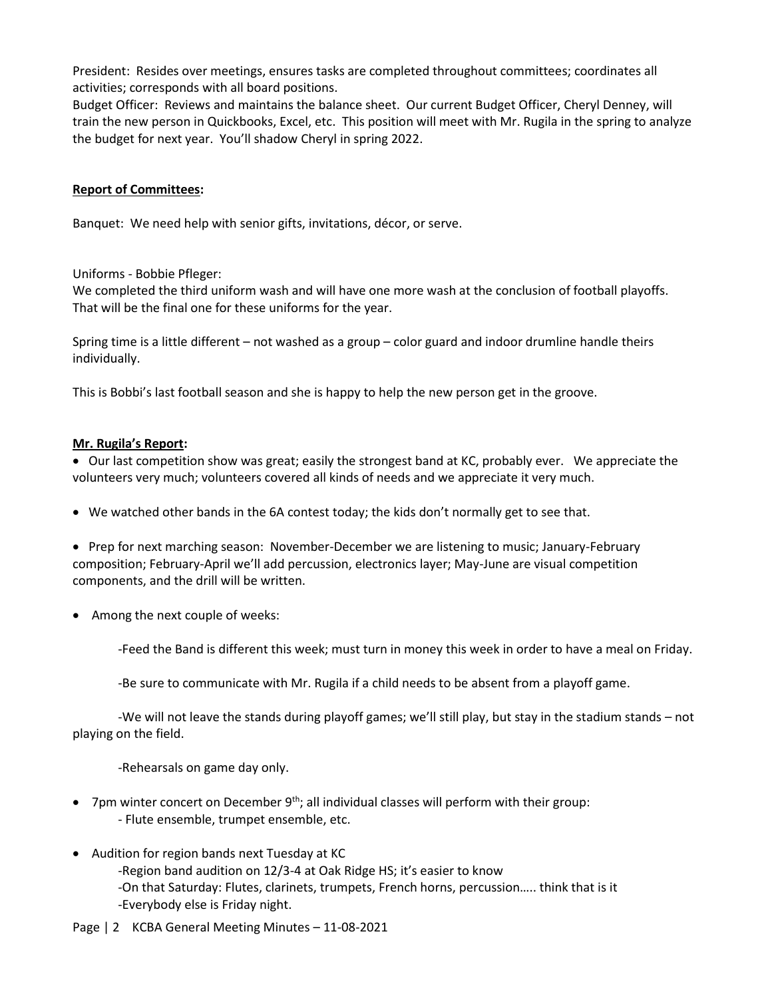President: Resides over meetings, ensures tasks are completed throughout committees; coordinates all activities; corresponds with all board positions.

Budget Officer: Reviews and maintains the balance sheet. Our current Budget Officer, Cheryl Denney, will train the new person in Quickbooks, Excel, etc. This position will meet with Mr. Rugila in the spring to analyze the budget for next year. You'll shadow Cheryl in spring 2022.

## **Report of Committees:**

Banquet: We need help with senior gifts, invitations, décor, or serve.

Uniforms - Bobbie Pfleger:

We completed the third uniform wash and will have one more wash at the conclusion of football playoffs. That will be the final one for these uniforms for the year.

Spring time is a little different – not washed as a group – color guard and indoor drumline handle theirs individually.

This is Bobbi's last football season and she is happy to help the new person get in the groove.

#### **Mr. Rugila's Report:**

• Our last competition show was great; easily the strongest band at KC, probably ever. We appreciate the volunteers very much; volunteers covered all kinds of needs and we appreciate it very much.

• We watched other bands in the 6A contest today; the kids don't normally get to see that.

• Prep for next marching season: November-December we are listening to music; January-February composition; February-April we'll add percussion, electronics layer; May-June are visual competition components, and the drill will be written.

• Among the next couple of weeks:

-Feed the Band is different this week; must turn in money this week in order to have a meal on Friday.

-Be sure to communicate with Mr. Rugila if a child needs to be absent from a playoff game.

-We will not leave the stands during playoff games; we'll still play, but stay in the stadium stands – not playing on the field.

-Rehearsals on game day only.

- 7pm winter concert on December 9<sup>th</sup>; all individual classes will perform with their group: - Flute ensemble, trumpet ensemble, etc.
- Audition for region bands next Tuesday at KC
	- -Region band audition on 12/3-4 at Oak Ridge HS; it's easier to know -On that Saturday: Flutes, clarinets, trumpets, French horns, percussion….. think that is it -Everybody else is Friday night.
- Page | 2 KCBA General Meeting Minutes 11-08-2021